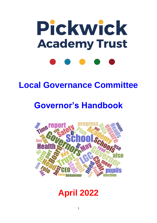# Pickwick **Academy Trust**

# **Local Governance Committee**

# **Governor's Handbook**



# **April 2022**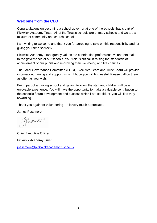# **Welcome from the CEO**

Congratulations on becoming a school governor at one of the schools that is part of Pickwick Academy Trust. All of the Trust's schools are primary schools and we are a mixture of community and church schools.

I am writing to welcome and thank you for agreeing to take on this responsibility and for giving your time so freely.

Pickwick Academy Trust greatly values the contribution professional volunteers make to the governance of our schools. Your role is critical in raising the standards of achievement of our pupils and improving their well-being and life chances.

The Local Governance Committee (LGC), Executive Team and Trust Board will provide information, training and support, which I hope you will find useful. Please call on them as often as you wish.

Being part of a thriving school and getting to know the staff and children will be an enjoyable experience. You will have the opportunity to make a valuable contribution to the school's future development and success which I am confident you will find very rewarding.

Thank you again for volunteering – it is very much appreciated.

James Passmore

Massure

Chief Executive Officer

Pickwick Academy Trust

[jpassmore@pickwickacademytrust.co.uk](mailto:jpassmore@pickwickacademytrust.co.uk)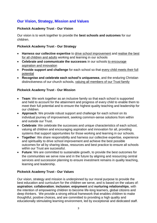# **Our Vision, Strategy, Mission and Values**

#### **Pickwick Academy Trust - Our Vision**

Our vision is to work together to provide the **best schools and outcomes** for our children.

#### **Pickwick Academy Trust - Our Strategy**

- **Harness our collective expertise** to drive school improvement and realise the best for all children and adults working and learning in our schools
- **Celebrate and communicate the successes** in our schools to encourage aspiration and innovation
- **Provide support and challenge** for each school so that every child meets their full potential
- **Recognise and celebrate each school's uniqueness**, and the enduring Christian distinctiveness of our church schools, valuing all members of our Trust family

#### **Pickwick Academy Trust - Our Mission**

- **Team**: We work together as an inclusive family so that each school is supported and held to account for the attainment and progress of every child to enable them to meet their full potential and to ensure the highest quality teaching and leadership for our children.
- **Approach**: We provide robust support and challenge for each school on its individual journey of improvement, seeking common-sense solutions from within and outside our Trust.
- **Celebrate**: We celebrate the successes and unique characteristics of each school, valuing all children and encouraging aspiration and innovation for all, providing systems that support opportunities for those working and learning in our schools.
- **Together**: We share responsibility and harness our collective expertise, experience and spirituality to drive school improvement and achieve the best possible outcomes for all by sharing ideas, resources and best practice to ensure all schools within our Trust are successful.
- **Future**: We are committed to sustainable growth, to provide the best outcomes for the communities we serve now and in the future by aligning and resourcing central services and succession planning to ensure investment remains in quality teaching, learning and leadership.

#### **Pickwick Academy Trust - Our Values**

Our vision, strategy and mission is underpinned by our moral purpose to provide the best education and curriculum for the children we serve, and is based on the values of: **aspiration**; **collaboration**; **inclusion**; **enjoyment** and **nurturing relationships**, with the intention of empowering children to become life-long learners, global citizens and deep thinkers. We provide a strong ethical framework that enables children to make thoughtful, positive choices, and are committed to providing a high quality and educationally stimulating learning environment, led by exceptional and dedicated staff.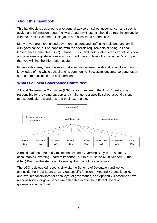# **About this handbook**

This handbook is designed to give general advice on school governance, and specific advice and information about Pickwick Academy Trust. It should be read in conjunction with the Trust's Scheme of Delegation and associated appendices.

Many of you are experienced governors, leaders and staff in schools and are familiar with governance, but perhaps not with the specific requirements of being a Local Governance Committee (LGC) member. This handbook is intended as an introduction and a reference guide whatever your current role and level of experience. We hope that you will find the information useful.

Pickwick Academy Trust believes that effective governance should take into account knowledge of the whole school and its community. Successful governance depends on strong communication and collaboration.

## **What is a Local Governance Committee?**

A Local Governance Committee (LGC) is a committee of the Trust Board and is responsible for providing support and challenge to a specific school around vision, ethos, curriculum, standards and pupil experience.



A traditional Local Authority maintained school Governing Body is the statutory accountable Governing Board of its school, but in a Trust the Multi-Academy Trust (MAT) Board is the statutory Governing Board of all its academies.

The LGC is delegated responsibility via the Scheme of Delegation and works alongside the Trust Board to carry out specific functions. Appendix 2 details policy approval responsibilities for each layer of governance, and Appendix 3 describes how responsibilities for governance are delegated across the different layers of governance in the Trust.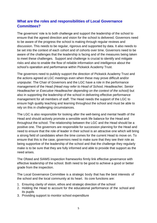# **What are the roles and responsibilities of Local Governance Committees?**

The governors' role is to both challenge and support the leadership of the school to ensure that the agreed direction and vision for the school is delivered. Governors need to be aware of the progress the school is making through regular reviews and discussion. This needs to be regular, rigorous and supported by data. It also needs to be set into the context of each cohort and of cohorts over time. Governors need to be aware of the challenges that the leadership is facing and of the measures being taken to meet these challenges. Support and challenge is crucial to identify and mitigate risks and also to enable the flow of reliable information and intelligence about the school's operation and performance within Pickwick Academy Trust.

The governors need to publicly support the direction of Pickwick Academy Trust and the actions agreed at LGC meetings even when these may prove difficult and/or unpopular. The Chair of Governors and the LGC have a role in the performance management of the Head *(Head may refer to Head of School, Headteacher, Senior Headteacher or Executive Headteacher depending on the context of the school)* but also in supporting the leadership of the school in delivering effective performance management for all members of staff. The Head needs the support of the LGC to ensure high quality teaching and learning throughout the school and must be able to rely on this in challenging circumstances.

The LGC is also responsible for looking after the well-being and mental health of the Head and should actively promote a sensible work life balance for the Head and throughout the school. The relationship between the LGC and the Head should be a positive one. The governors are responsible for succession planning for the Head and need to ensure that the role of leader in their school is an attractive one which will bring a strong field of candidates when the time comes for the current Head to move on. To ensure that this is the case, governors need to make sure that they see their role as being supportive of the leadership of the school and that the challenge they regularly make is to be sure that they are fully informed and able to provide that support as the need arises.

The Ofsted and SIAMS inspection frameworks firmly link effective governance with effective leadership of the school. Both need to be good to achieve a good or better grade from the inspection.

The Local Governance Committee is a strategic body that has the best interests of the school and the local community at its heart. Its core functions are:

- 1. Ensuring clarity of vision, ethos and strategic direction of the school
- 2. Holding the Head to account for the educational performance of the school and its pupils
- 3. Providing support to monitor school expenditure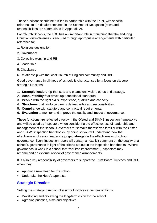These functions should be fulfilled in partnership with the Trust, with specific reference to the details contained in the Scheme of Delegation (roles and responsibilities are summarised in Appendix 2).

For Church Schools, the LGC has an important role in monitoring that the enduring Christian distinctiveness is secured through appropriate arrangements with particular reference to:

- 1. Religious designation
- 2. Governance
- 3. Collective worship and RE
- 4. Leadership
- 5. Chaplaincy
- 6. Relationship with the local Church of England community and DBE

Good governance in all types of schools is characterised by a focus on six core strategic functions:

- 1. **Strategic leadership** that sets and champions vision, ethos and strategy.
- 2. **Accountability t**hat drives up educational standards
- 3. **People** with the right skills, experience, qualities and capacity.
- 4. **Structures** that reinforce clearly defined roles and responsibilities.
- 5. **Compliance** with statutory and contractual requirements.
- 6. **Evaluation** to monitor and improve the quality and impact of governance.

These functions are reflected directly in the Ofsted and SIAMS inspection frameworks and will be used by inspectors when considering the effectiveness of leadership and management of the school. Governors must make themselves familiar with the Ofsted and SIAMS inspection handbooks; by doing so you will understand how the effectiveness of senior leaders is judged **alongside** the effectiveness of school governance. Every inspection report will contain an explicit comment on the quality of a school's governance in light of the criteria set out in the inspection handbooks. Where governance is weak in a school that 'requires improvement', inspectors may recommend an external review of governance arrangements.

It is also a key responsibility of governors to support the Trust Board Trustees and CEO when they:

- Appoint a new Head for the school
- Undertake the Head's appraisal

# **Strategic Direction**

Setting the strategic direction of a school involves a number of things:

- Developing and reviewing the long-term vision for the school
- Agreeing priorities, aims and objectives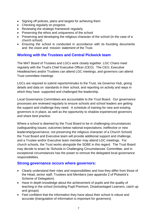- Signing off policies, plans and targets for achieving them
- Checking regularly on progress
- Reviewing the strategic framework regularly
- Preserving the ethos and uniqueness of the school
- Preserving and developing the religious character of the school (in the case of a church school)
- Ensuring the school is conducted in accordance with its founding documents and the vision and mission statement of the Trust.

#### **Working with the Trustees and Central Pickwick team**

The MAT Board of Trustees and LGCs work closely together. LGC Chairs meet regularly with the Trust's Chief Executive Officer (CEO). The CEO, Executive Headteachers and/or Trustees can attend LGC meetings, and governors can attend Trust committee meetings

LGCs are required to submit reports/minutes to the Trust, via Governor Hub, giving details and data on standards in their school, and reporting on activity and ways in which they have supported and challenged the leadership.

Local Governance Committees are accountable to the Trust Board. Our governance processes are reviewed regularly to ensure schools and school leaders are getting the support and challenge they need. A schedule of training for new and existing governors is in place, as well as the opportunity to shadow experienced governors and share best practice.

Where a school is deemed by the Trust Board to be in challenging circumstances (safeguarding issues; outcomes below national expectations; ineffective or new leadership/governance, not preserving the religious character of a Church School) the Trust Board and Executive team will provide additional support and challenge, and a Trustee and/or Executive team member may attend LGC meetings. For church schools, the Trust works alongside the SDBE in this regard. The Trust Board may decide to enact its 'Schools in Challenging Circumstances' Committee, and in exceptional circumstances has the power to remove the delegated local governance responsibilities.

#### **Strong governance occurs where governors:**

- Clearly understand their roles and responsibilities and how they differ from those of the Head, senior staff, Trustees and Members (see appendix 2 of Pickwick's Scheme of Delegation)
- Have in depth knowledge about the achievement of pupils and the quality of teaching in the school (including Pupil Premium, Disadvantaged Learners, catch up and groups)
- Feel confident that the information they have about their school is robust and accurate (triangulation of information is important for governors)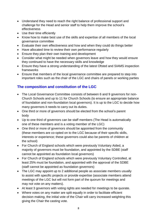- Understand they need to reach the right balance of professional support and challenge for the Head and senior staff to help them improve the school's effectiveness
- Use their time efficiently
- Know how to make best use of the skills and expertise of all members of the local governance committee
- Evaluate their own effectiveness and how and when they could do things better
- Have allocated time to review their own performance regularly
- Ensure they plan their own training and development
- Consider what might be needed when governors leave and how they would ensure they continued to have the necessary skills and knowledge
- Ensure they have a strong understanding of the latest Ofsted and SIAMS inspection frameworks
- Ensure that members of the local governance committee are prepared to step into important roles such as the chair of the LGC and chairs of panels or working parties

# **The composition and constitution of the LGC**

- The Local Governance Committee consists of between 6 and 9 governors for non-Church Schools and up to 11 for Church Schools (to ensure an appropriate balance of foundation and non-foundation local governors). It is up to the LGC to decide how many governors it needs to carry out its duties.
- One third or more of governors should be elected from the school's parent body
- Up to one third of governors can be staff members (The Head is automatically one of these members and is a voting member of the LGC)
- One third or more of governors should be appointed from the community (these members are co-opted on to the LGC because of their specific skills, interests or experience; these governors could also be parents of children at the school)
- For Church of England schools which were previously Voluntary Aided, a majority of governors must be foundation, and appointed by the SDBE (staff cannot be appointed as foundation local governors)
- For Church of England schools which were previously Voluntary Controlled, at least 25% must be foundation, and appointed with the approval of the SDBE (staff cannot be appointed as foundation governors)
- The LGC may appoint up to 2 additional people as associate members usually to assist with specific projects or provide expertise (associate members attend meetings of the LGC but will not form part of the quorum for meetings and may not vote on any matters).
- At least 3 governors with voting rights are needed for meetings to be quorate.
- Where votes on any matter are split equally in order to facilitate efficient decision making, the initial vote of the Chair will carry increased weighting this giving the Chair the casting vote.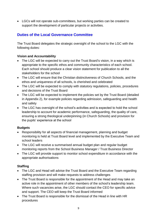• LGCs will not operate sub-committees, but working parties can be created to support the development of particular projects or activities.

# **Duties of the Local Governance Committee**

The Trust Board delegates the strategic oversight of the school to the LGC with the following duties:

#### **Vision and Accountability**

- The LGC will be expected to carry out the Trust Board's vision, in a way which is appropriate to the specific ethos and community characteristics of each school. Each school should produce a clear vision statement for publication to all the stakeholders for the school
- The LGC will ensure that the Christian distinctiveness of Church Schools, and the ethos and uniqueness of all schools, is cherished and celebrated
- The LGC will be expected to comply with statutory regulations, policies, procedures and decisions of the Trust Board
- The LGC will be expected to implement the policies set by the Trust Board (detailed in Appendix 2), for example policies regarding admission, safeguarding and health and safety
- The LGC has oversight of the school's activities and is expected to hold the school leadership to account for academic performance, safeguarding, the quality of care, ensuring a strong theological underpinning (in Church Schools) and provision for the pupils' experience at the school

#### **Budgets**

- Responsibility for all aspects of financial management, planning and budget monitoring is held at Trust Board level and implemented by the Executive Team and school leaders
- The LGC will receive a summarised annual budget plan and regular budget monitoring reports from the School Business Manager / Trust Business Director
- The LGC will provide support to monitor school expenditure in accordance with the appropriate authorisations

#### **Staffing**

- The LGC and Head will advise the Trust Board and the Executive Team regarding staffing provision and will make requests to address challenges
- The Trust Board is responsible for the appointment of the Head and may take an active role in the appointment of other members of the school's leadership team. Where such vacancies arise, the LGC should contact the CEO for specific advice and support. The CEO will keep the Trust Board informed
- The Trust Board is responsible for the dismissal of the Head in line with HR procedures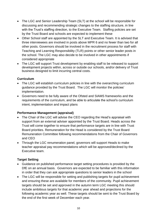- The LGC and Senior Leadership Team (SLT) at the school will be responsible for discussing and recommending strategic changes to the staffing structure, in line with the Trust's staffing direction, to the Executive Team. Staffing policies are set by the Trust Board and schools are expected to implement these
- Other School staff are appointed by the SLT and Executive Team. It is advised that three interviewees are involved in posts above MPR 6 and no fewer than two for all other posts. Governors should be involved in the recruitment process for staff with Teaching and Learning Responsibility (TLR) points or other senior leader posts in the school. The LGC may also decide to be involved in other appointments if considered appropriate
- The LGC will support Trust development by enabling staff to be released to support development projects within, across or outside our schools, and/or delivery of Trust business designed to limit incurring central costs.

#### **Curriculum**

- The LGC will establish curriculum policies in line with the overarching curriculum guidance provided by the Trust Board. The LGC will monitor the policies' implementation.
- Governors need to be fully aware of the Ofsted and SIAMS frameworks and the requirements of the curriculum, and be able to articulate the school's curriculum intent, implementation and impact plans

#### **Performance Management (appraisal)**

- The Chair of the LGC will advise the CEO regarding the Head's appraisal with support from an external adviser appointed by the Trust Board. Heads across the Trust will come together to ensure that performance targets are in line with Trust Board priorities. Remuneration for the Head is considered by the Trust Board Remuneration Committee following recommendations from the Chair of Governors and CEO
- Through the LGC renumeration panel, governors will support Heads to make teacher appraisal pay recommendations which will be approved/declined by the Executive team.

#### **Target Setting**

- Guidance on published performance target setting procedures is provided by the DfE on an annual basis. Governors are expected to be familiar with this information in order that they can ask appropriate questions to senior leaders in the school
- The LGC will be responsible for setting and publishing targets for pupil achievement and ensuring these are available for members of the community. Pupil achievement targets should be set and approved in the autumn term LGC meeting this should include ambitious targets for that academic year ahead and projections for the following academic year as well. These targets should be sent to the Trust Board by the end of the first week of December each year.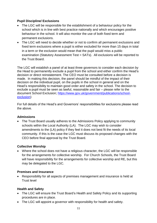#### **Pupil Discipline/ Exclusions**

- The LGC will be responsible for the establishment of a behaviour policy for the school which is in line with best practice nationally and which encourages positive behaviour in the school. It will also monitor the use of both fixed term and permanent exclusions.
- The LGC will need to decide whether or not to confirm all permanent exclusions and fixed term exclusions where a pupil is either excluded for more than 15 days in total in a term or the exclusion would mean that the pupil would miss a public examination (Statutory Assessment Test = SATs). All exclusions will be reported to the Trust Board.

The LGC will establish a panel of at least three governors to consider each decision by the Head to permanently exclude a pupil from the school and either confirm the Head's decision or direct reinstatement. The CEO must be consulted before a decision is made. In making this decision, the panel should be mindful of the impact of their decision on the individual pupil, on the pupils in the school in general and on the Head's responsibility to maintain good order and safety in the school. The decision to exclude a pupil must be seen as lawful, reasonable and fair – please refer to the document School Exclusion; [https://www.gov.uk/government/publications/school](https://www.gov.uk/government/publications/school-exclusion)[exclusion\)](https://www.gov.uk/government/publications/school-exclusion)

For full details of the Head's and Governors' responsibilities for exclusions please read the above.

#### **Admissions**

• The Trust Board usually adheres to the Admissions Policy applying to community schools within the Local Authority (LA). The LGC may wish to consider amendments to the (LA) policy if they feel it does not best fit the needs of its local community. If this is the case the LGC must discuss its proposed changes with the CEO before final approval by the Trust Board.

#### **Collective Worship**

• Where the school does not have a religious character, the LGC will be responsible for the arrangements for collective worship. For Church Schools, the Trust Board will have responsibility for the arrangements for collective worship and RE, but this may be delegated to the LGC.

#### **Premises and Insurance**

• Responsibility for all aspects of premises management and insurance is held at Trust level

#### **Health and Safety**

- The LGC will ensure the Trust Board's Health and Safety Policy and its supporting procedures are in place.
- The LGC will appoint a governor with responsibility for health and safety.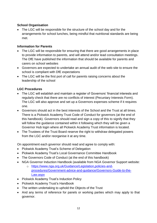#### **School Organisation**

• The LGC will be responsible for the structure of the school day and for the arrangements for school lunches, being mindful that nutritional standards are being met.

#### **Information for Parents**

- The LGC will be responsible for ensuring that there are good arrangements in place to provide information to parents, and will attend and/or lead consultation meetings. The DfE have published the information that should be available for parents and carers on school websites
- Governors are expected to undertake an annual audit of the web-site to ensure the school is compliant with DfE expectations
- The LGC will be the first port of call for parents raising concerns about the leadership of the school

#### **LGC Procedures**

- The LGC will establish and maintain a register of Governors' financial interests and regularly check that there are no conflicts of interest (Pecuniary Interests Form). The LGC will also approve and set up a Governors expenses scheme if it requires one.
- Governors should act in the best interests of the School and the Trust at all times. There is a Pickwick Academy Trust Code of Conduct for governors (at the end of this handbook). Governors should read and sign a copy of this to signify that they will follow the guidance contained within it following which they will be given a Governor Hub login where all Pickwick Academy Trust information is located.
- The Trustees of the Trust Board reserve the right to withdraw delegated powers from the LGC and/or reorganise it at any time.

On appointment each governor should read and agree to comply with:

- Pickwick Academy Trust's Scheme of Delegation
- Pickwick Academy Trust's Local Governance Committee Handbook
- The Governors Code of Conduct (at the end of this handbook)
- NGA Governor Induction Handbook (available from NGA Governor Support website:
	- o [https://www.nga.org.uk/Guidance/Legislation,policies-and](https://www.nga.org.uk/Guidance/Legislation,policies-and-procedures/Government-advice-and-guidance/Governors-Guide-to-the-Law.aspx)[procedures/Government-advice-and-guidance/Governors-Guide-to-the-](https://www.nga.org.uk/Guidance/Legislation,policies-and-procedures/Government-advice-and-guidance/Governors-Guide-to-the-Law.aspx)[Law.aspx](https://www.nga.org.uk/Guidance/Legislation,policies-and-procedures/Government-advice-and-guidance/Governors-Guide-to-the-Law.aspx)
- Pickwick Academy Trust's Induction Policy
- Pickwick Academy Trust's Handbook
- The written undertaking to uphold the Objects of the Trust
- And any terms of reference for panels or working parties which may apply to that governor.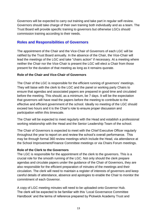Governors will be expected to carry out training and take part in regular self-review. Governors should take charge of their own training both individually and as a team. The Trust Board will provide specific training to governors but otherwise LGCs should commission training according to their needs.

# **Roles and Responsibilities of Governors**

The appointment of the Chair and the Vice-Chair of Governors of each LGC will be ratified by the Trust Board annually. In the absence of the Chair, the Vice-Chair will lead the meetings of the LGC and take "chairs action" if necessary. At a meeting where neither the Chair nor the Vice-Chair is present the LGC will elect a Chair from those present for the duration of that meeting as long as it remains quorate.

#### **Role of the Chair and Vice-Chair of Governors**

The Chair of the LGC is responsible for the efficient running of governors' meetings. They will liaise with the clerk to the LGC and the panel or working party Chairs to ensure that agendas and associated papers are prepared in good time and circulated before the meeting. This should, as a minimum, be 7 days. It will be the expectation that governors will have read the papers before the meeting to contribute to the effective and efficient government of the school. Ideally no meeting of the LGC should exceed two hours and it is the Chair's role to ensure proper discussion and participation within this timescale.

The Chair will be expected to meet regularly with the Head and establish a professional working relationship with the Head and the Senior Leadership Team of the school.

The Chair of Governors is expected to meet with the Chief Executive Officer regularly throughout the year to report on and review the school's overall performance. This may be through formal 360 review meetings which include the Head, via attendance at the School Improvement/Finance Committee meetings or via Chairs Forum meetings.

#### **Role of the Clerk to the Governors**

The LGC is responsible for the appointment of the clerk to the governors. This is a crucial role for the smooth running of the LGC. Not only should the clerk prepare agendas and circulate papers under the guidance of the Chair of Governors, they are also responsible for the efficient preparation of minutes of the meetings and their circulation. The clerk will need to maintain a register of interests of governors and keep careful details of attendance, absence and apologies to enable the Chair to monitor the commitment of each Governor.

A copy of LGC meeting minutes will need to be uploaded onto Governor Hub. The clerk will be expected to be familiar with this 'Local Governance Committee Handbook' and the terms of reference prepared by Pickwick Academy Trust and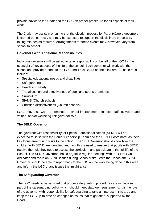provide advice to the Chair and the LGC on proper procedure for all aspects of their work.

The Clerk may assist in ensuring that the election process for Parent/Carers governors is carried out correctly and may be expected to support the disciplinary process by taking minutes as required. Arrangements for these events may, however, vary from school to school.

#### **Governors with Additional Responsibilities**

Individual governors will be asked to take responsibility on behalf of the LGC for the oversight of key aspects of the life of the school. Each governor will work with the school and provide reports to the LGC and Trust Board on their link area. These must include:

- Special educational needs and disabilities
- Safeguarding
- Health and safety
- The allocation and effectiveness of pupil and sports premiums
- Curriculum
- SIAMS (Church schools)
- Christian distinctiveness (Church schools)

LGCs may also want to nominate a school improvement, finance, staffing, vision and values, and/or wellbeing link governor role

#### **The SEND Governor**

The governor with responsibility for Special Educational Needs (SEND) will be expected to liaise with the Senior Leadership Team and the SEND Coordinator as their key focus area during visits to the school. The SEN Governor should know how the children with SEND are identified and how this is used to ensure that pupils with SEND receive the help they need to access the curriculum and participate in the full life of the School. The SEND Governor should organise regular meetings with the SEND Coordinator and focus on SEND issues during School visits.With the Heads, the SEND Governor should be able to report back to the LGC on the work being done in this area and inform the LGC of any issues that might arise.

#### **The Safeguarding Governor**

The LGC needs to be satisfied that proper safeguarding procedures are in place as part of the safeguarding policy which should meet statutory requirements. It is the role of the governor with responsibility for safeguarding to take an interest in this area and keep the LGC up-to-date on changes or issues that might arise, supported by the Head.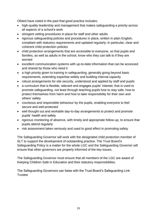Ofsted have noted in the past that good practice includes:

- high-quality leadership and management that makes safeguarding a priority across all aspects of a school's work
- stringent vetting procedures in place for staff and other adults
- rigorous safeguarding policies and procedures in place, written in plain English, compliant with statutory requirements and updated regularly; in particular, clear and coherent child protection policies
- child protection arrangements that are accessible to everyone, so that pupils and families, as well as adults in the school, know who they can talk to if they are worried
- excellent communication systems with up-to-date information that can be accessed and shared by those who need it
- a high priority given to training in safeguarding, generally going beyond basic requirements, extending expertise widely and building internal capacity
- robust arrangements for site security, understood and applied by staff and pupils
- a curriculum that is flexible, relevant and engages pupils' interest; that is used to promote safeguarding, not least through teaching pupils how to stay safe, how to protect themselves from harm and how to take responsibility for their own and others' safety
- courteous and responsible behaviour by the pupils, enabling everyone to feel secure and well-protected
- well thought out and workable day-to-day arrangements to protect and promote pupils' health and safety
- rigorous monitoring of absence, with timely and appropriate follow-up, to ensure that pupils attend regularly
- risk assessment taken seriously and used to good effect in promoting safety

The Safeguarding Governor will work with the designated child protection member of SLT to support the development of outstanding practice. The Trust Board's Safeguarding Policy is a matter for the whole LGC and the Safeguarding Governor will ensure that other governors are properly informed of the key issues.

The Safeguarding Governor must ensure that all members of the LGC are aware of Keeping Children Safe in Education and their statutory responsibilities.

The Safeguarding Governors can liaise with the Trust Board's Safeguarding Link **Trustee**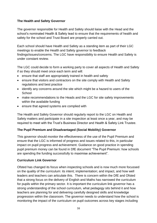#### **The Health and Safety Governor**

The governor responsible for Health and Safety should liaise with the Head and the school's nominated Health & Safety lead to ensure that the requirements of health and safety for the school and Trust Board are properly carried out.

Each school should have Health and Safety as a standing item as part of their LGC meetings to enable the Health and Safety governor to feedback findings/issues/concerns. The LGC have responsibility to ensure Health and Safety is under constant review.

The LGC could decide to form a working party to cover all aspects of Health and Safety if so they should meet once each term and will:

- ensure that staff are appropriately trained in health and safety
- ensure that visitors and contractors on the site comply with Health and Safety regulations and best practice
- identify any concerns around the site which might be a hazard to users of the School
- make recommendations to the Heads and the LGC for site safety improvements within the available funding
- ensure that agreed systems are complied with

The Health and Safety Governor should regularly report to the LGC on Health and Safety matters and participate in a site inspection at least once a year, and may be required to meet with the Trust's Business Director and Health & Safety Link Trustee.

#### **The Pupil Premium and Disadvantaged (Social Mobility) Governor**

This governor should monitor the effectiveness of the use of the Pupil Premium and ensure that the LGC is informed of progress and issues related to this, in particular impact on pupil progress and achievement. Guidance on good practice in spending pupil premium money can be found in DfE document "The Pupil Premium: how schools are spending the funding successfully to maximise achievement".

#### **Curriculum Link Governor**

Ofsted has changed its focus when inspecting schools and is now much more focussed on the quality of the curriculum: its intent; implementation; and impact, and how well leaders and teachers can articulate this. There is concern within the DfE and Ofsted that a strong focus on the delivery of English and Maths has narrowed the curriculum for pupils within the primary sector. It is important the curriculum link governor has a strong understanding of the school curriculum, what pedagogy sits behind it and how teachers are planning for and delivering carefully designed skills and knowledge progression within the classroom. The governor needs to understand how the school is monitoring the impact of the curriculum on pupil outcomes across key stages including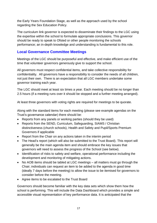the Early Years Foundation Stage, as well as the approach used by the school regarding the Sex Education Policy.

The curriculum link governor is expected to disseminate their findings to the LGC using the expertise within the school to formulate appropriate conclusions. This governor should be ready to speak to Ofsted or other people monitoring the schools performance; an in-depth knowledge and understanding is fundamental to this role.

## **Local Governance Committee Meetings**

Meetings of the LGC should be purposeful and effective, and make efficient use of the time that volunteer governors generously give to support the school.

All governors must respect confidential items, and take collective responsibility for confidentiality. All governors have a responsibility to consider the needs of all children, not just their own. There is an expectation that all LGC members undertake some governor training each year.

The LGC should meet at least six times a year. Each meeting should be no longer than 2.5 hours (if a meeting runs over it should be stopped and a further meeting arranged).

At least three governors with voting rights are required for meetings to be quorate.

Along with the standard items for each meeting (please see example agendas on the Trust's governance calendar) there should be:

- Reports from any panels or working parties (should they be used)
- Reports from the SEND, Curriculum, Safeguarding, SIAMS / Christian distinctiveness (church schools), Health and Safety and Pupil/Sports Premium Governors if applicable
- Report from the Chair on any actions taken in the interim period
- The Head's report (which will also be submitted to the Trust Board). This report will generally be the main agenda item and should embrace the key issues that governors will need to assess the progress of the School (see below).
- Identification of risks to safety and welfare, operational performance including the development and monitoring of mitigating actions.
- No AOB items should be tabled at LGC meetings all matters must go through the Chair; individuals can request an item to be added to the agenda in good time (ideally 7 days before the meeting) to allow the issue to be itemised for governors to consider before the meeting.
- Agree items to be escalated to the Trust Board

Governors should become familiar with the key data sets which show them how the school is performing. This will include the Data Dashboard which provides a simple and accessible visual representation of key performance data. It is anticipated that the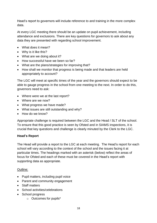Head's report to governors will include reference to and training in the more complex data.

At every LGC meeting there should be an update on pupil achievement, including attendance and exclusions. There are key questions for governors to ask about any data they are presented with regarding school improvement.

- What does it mean?
- Why is it like this?
- What are we doing about it?
- How successful have we been so far?
- What are the plans/strategies for improving that?
- How shall we monitor that progress is being made and that leaders are held appropriately to account?

The LGC will meet at specific times of the year and the governors should expect to be able to gauge progress in the school from one meeting to the next. In order to do this, governors need to ask:

- Where were we at the last report?
- Where are we now?
- What progress we have made?
- What issues are still outstanding and why?
- How do we know?

Appropriate challenge is required between the LGC and the Head / SLT of the school. To ensure that this good practice is seen by Ofsted and in SIAMS inspections, it is crucial that key questions and challenge is clearly minuted by the Clerk to the LGC.

#### **Head's Report**

The Head will provide a report to the LGC at each meeting. The Head's report for each school will vary according to the context of the school and the issues facing it at particular times. The headings marked with an asterisk (below) reflect the areas of focus for Ofsted and each of these must be covered in the Head's report with supporting data as appropriate.

#### Outline:

- Pupil matters, including pupil voice
- Parent and community engagement
- Staff matters
- School activities/celebrations
- School progress
	- o Outcomes for pupils\*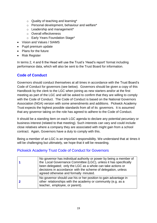- $\circ$  Quality of teaching and learning\*
- o Personal development, behaviour and welfare\*
- o Leadership and management\*
- o Overall effectiveness
- o Early Years Foundation Stage\*
- Vision and Values / SIAMS
- Pupil premium update
- Plans for the future
- Risk Register

In terms 2, 4 and 6 the Head will use the Trust's 'Head's report' format including performance data, which will also be sent to the Trust Board for information.

# **Code of Conduct**

Governors should conduct themselves at all times in accordance with the Trust Board's Code of Conduct for governors (see below). Governors should be given a copy of this Handbook by the clerk to the LGC when joining as new starters and/or at the first meeting as part of the LGC and will be asked to confirm that they are willing to comply with the Code of Conduct. The Code of Conduct is based on the National Governors Association (NGA) version with some amendments and additions. Pickwick Academy Trust expects the highest possible standards from all of its governors. It is assumed that any governor taking on the role has agreed to adhere to the Code of Conduct.

It should be a standing item on each LGC agenda to declare any potential pecuniary or business interest (related to that meeting). Such interests can vary and could include close relatives where a company they are associated with might gain from a school contract. Again, Governors have a duty to comply with this.

Being a member of an LGC is an important responsibility. We understand that at times it will be challenging but ultimately, we hope that it will be rewarding.

# Pickwick Academy Trust Code of Conduct for Governors

| No governor has individual authority or power by being a member of<br>the Local Governance Committee (LGC), unless it has specifically<br>been delegated; only the LGC as a whole can take actions or<br>decisions in accordance with the scheme of delegation, unless<br>agreed otherwise and formally minuted. |
|------------------------------------------------------------------------------------------------------------------------------------------------------------------------------------------------------------------------------------------------------------------------------------------------------------------|
| No governor should use his or her position to gain advantage in<br>other relationships with the academy or community (e.g. as a<br>teacher, employee, or parent).                                                                                                                                                |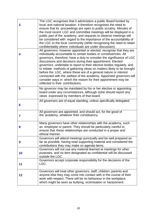| 3  | The LGC recognises that it administers a public Board funded by<br>local and national taxation. It therefore recognises the need to<br>ensure that its proceedings are open to public scrutiny. Minutes of<br>the most recent LGC and committee meetings will be displayed in a<br>public part of the academy, and requests to observe meetings will<br>be considered with regard to the importance of the accountability of<br>the LGC to the local community (while recognising the need to retain<br>confidentiality where individuals are under discussion).                                                                                                                      |
|----|---------------------------------------------------------------------------------------------------------------------------------------------------------------------------------------------------------------------------------------------------------------------------------------------------------------------------------------------------------------------------------------------------------------------------------------------------------------------------------------------------------------------------------------------------------------------------------------------------------------------------------------------------------------------------------------|
| 4  | All governors, however appointed or elected, recognise that they are<br>individually accountable to certain bodies or constituencies. All<br>governors, therefore, have a duty to consider the significance of LGC<br>discussions and decisions during their appointment. Elected<br>governors undertake to report to their elective bodies regularly, and<br>to initiate methods of gathering views on matters likely to be brought<br>before the LGC, where these are of a general nature or interest<br>connected with the welfare of the academy. Appointed governors will<br>consider ways in which the reason for their appointment may be<br>reflected in their contributions. |
| 5  | No governor may be mandated by his or her elective or appointing<br>board under any circumstances, although (s)he should report any<br>views expressed by members of that board.                                                                                                                                                                                                                                                                                                                                                                                                                                                                                                      |
| 6  | All governors are of equal standing, unless specifically delegated.                                                                                                                                                                                                                                                                                                                                                                                                                                                                                                                                                                                                                   |
| 7  | All governors are appointed, and should act, for the good of<br>the academy, whatever their constituency.                                                                                                                                                                                                                                                                                                                                                                                                                                                                                                                                                                             |
| 8  | Many governors have other relationships with the academy, such<br>as employee or parent. They should be particularly careful to<br>ensure that these relationships are conducted in a proper and<br>ethical manner.                                                                                                                                                                                                                                                                                                                                                                                                                                                                   |
| 9  | Governors will attend meetings punctually and be well prepared as<br>far as possible, having read supporting material and considered the<br>contributions they may make on agenda items.                                                                                                                                                                                                                                                                                                                                                                                                                                                                                              |
| 10 | Governors will not use any material learned at meetings for other<br>purposes, and no item designated as confidential will be discussed<br>outside the LGC.                                                                                                                                                                                                                                                                                                                                                                                                                                                                                                                           |
| 11 | Governors accept corporate responsibility for the decisions of the<br>LGC.                                                                                                                                                                                                                                                                                                                                                                                                                                                                                                                                                                                                            |
| 12 | Governors will treat other governors, staff, children, parents and<br>anyone else they may come into contact with in the course of their<br>work with respect. There will be no behaviour in the workplace<br>which might be seen as bullying, victimisation or harassment.                                                                                                                                                                                                                                                                                                                                                                                                           |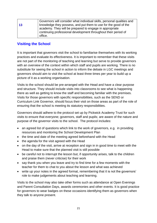|    | Governors will consider what individual skills, personal qualities and |
|----|------------------------------------------------------------------------|
| 13 | knowledge they possess, and put them to use for the good of the        |
|    | academy. They will be prepared to engage in appropriate                |
|    | continuing professional development throughout their period of         |
|    | office.                                                                |

## **Visiting the School**

It is important that governors visit the school to familiarise themselves with its working practices and evaluate its effectiveness. It is important to remember that these visits are not part of the monitoring of teaching and learning but serve to provide governors with an overview of the context within which staff and pupils are working. There is no substitute for seeing the school in action to inform the debate in LGC meetings and governors should aim to visit the school at least three times per year to build up a picture of it as a working organisation.

Visits to the school should be pre-arranged with the Head and have a clear purpose and structure. They should include visits into classrooms to see what is happening there as well as getting to know the staff and becoming familiar with the premises. Visits for those governors with specific responsibilities, such as the SEND or Curriculum Link Governor, should focus their visit on those areas as part of the role of ensuring that the school is meeting its statutory responsibilities.

Governors should adhere to the protocol set up by Pickwick Academy Trust for such visits to ensure that everyone; governors, staff and pupils; are aware of the nature and purpose of the governor visits to the school. The protocol includes:

- an agreed list of questions which link to the work of governors, e.g. in providing resources and monitoring the School Development Plan
- the time and date of the meeting agreed beforehand with the Head
- the agenda for the visit agreed with the Head
- on the day of the visit, arrive at reception and sign in in good time to meet with the Head to make sure that the planned visit is still possible
- be careful not to interrupt the lesson but, if opportunity arises, talk to the children and praise them (never criticise) for their work
- say thank you when you leave and try to find time for a few moments with the teacher for them to chat to you about the lesson and what was achieved
- write up your notes in the agreed format, remembering that it is not the governors' role to make judgements about teaching and learning.

Visits to the school may also take other forms such as attendance at Open Evenings and Parent Consultation Days, awards ceremonies and other events. It is good practice for governors to wear badges on these occasions identifying them as governors when they talk to anyone present.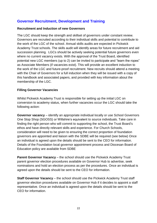# **Governor Recruitment, Development and Training**

#### **Recruitment and Induction of new Governors**

The LGC should keep the strength and skillset of governors under constant review. Governors are recruited according to their individual skills and potential to contribute to the work of the LGC of the school. Annual skills audits are expected in Pickwick Academy Trust schools. The skills audit will identify areas for future recruitment and aid succession planning. LGCs should be actively seeking potential future governors even where no current vacancy exists. With the approval of the Trust Board, identified potential new LGC members (up to 2) can be invited to participate and "learn the ropes" as Associate Members (if vacancies exist). This will provide an excellent induction to the work of the LGC and future-proof recruitment. New recruits should attend a meeting with the Chair of Governors for a full induction when they will be issued with a copy of this handbook and associated papers, and provided with key information about the membership of the LGC.

#### **Filling Governor Vacancies**

Whilst Pickwick Academy Trust is responsible for setting up the initial LGC on conversion to academy status, when further vacancies occur the LGC should take the following action:

**Governor vacancy** – identify an appropriate individual locally or use School Governors One Stop Shop (SGOSS) or Wiltshire's equivalent to source individuals. Take care in finding the right person who will commit to supporting the school, the Trust Board's ethos and have directly relevant skills and experience. For Church Schools, consideration will need to be given to ensuring the correct proportion of foundation governors are appointed and liaison with the SDBE will be required (see below) Once an individual is agreed upon the details should be sent to the CEO for information. Details of the Foundation local governor appointment process and Diocesan Board of Education policy are available from SDBE

**Parent Governor Vacancy** – the school should use the Pickwick Academy Trust parent governor election procedures available on Governor Hub to advertise, seek nominations and hold an election process as per the procedures. Once an individual is agreed upon the details should be sent to the CEO for information.

**Staff Governor Vacancy** – the school should use the Pickwick Academy Trust staff governor election procedures available on Governor Hub if it decides to appoint a staff representative. Once an individual is agreed upon the details should be sent to the CEO for information.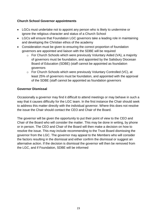#### **Church School Governor appointments**

- LGCs must undertake not to appoint any person who is likely to undermine or ignore the religious character and status of a Church School
- LGCs will ensure that Foundation LGC governors take a leading role in maintaining and developing the Christian ethos of the academy
- Consideration must be given to ensuring the correct proportion of foundation governors are appointed and liaison with the SDBE will be required
	- $\circ$  For Church Schools which were previously Voluntary Aided (VA), a majority of governors must be foundation, and appointed by the Salisbury Diocesan Board of Education (SDBE) (staff cannot be appointed as foundation governors
	- o For Church Schools which were previously Voluntary Controlled (VC), at least 25% of governors must be foundation, and appointed with the approval of the SDBE (staff cannot be appointed as foundation governors

#### **Governor Dismissal**

Occasionally a governor may find it difficult to attend meetings or may behave in such a way that it causes difficulty for the LGC team. In the first instance the Chair should seek to address this matter directly with the individual governor. Where this does not resolve the issue the Chair should contact the CEO and Chair of the Board.

The governor will be given the opportunity to put their point of view to the CEO and Chair of the Board who will consider the matter. This may be done in writing, by phone or in person. The CEO and Chair of the Board will then make a decision on how to resolve the issue. This may include recommending to the Trust Board dismissing the governor from the LGC. The governor may appeal to the Members who will consider the factors resulting in the dismissal and either confirm the dismissal or suggest an alternative action. If the decision is dismissal the governor will then be removed from the LGC, and if Foundation, SDBE will be informed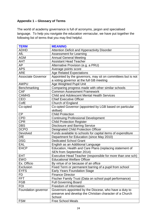## **Appendix 1 – Glossary of Terms**

The world of academy governance is full of acronyms, jargon and specialised language. To help you navigate the education vernacular, we have put together the following list of terms that you may find helpful.

| <b>TERM</b>         | <b>MEANING</b>                                               |
|---------------------|--------------------------------------------------------------|
| <b>ADHD</b>         | Attention Deficit and Hyperactivity Disorder                 |
| AfL                 | <b>Assessment for Learning</b>                               |
| <b>AGM</b>          | <b>Annual General Meeting</b>                                |
| <b>AHT</b>          | <b>Assistant Head Teacher</b>                                |
| AP                  | Alternative Provision (e.g. a PRU)                           |
| <b>APS</b>          | Average points score                                         |
| <b>ARE</b>          | <b>Age Related Expectations</b>                              |
| Associate Governor  | Appointed by the governors, may sit on committees but is not |
|                     | a voting governor at the full GB meeting                     |
| <b>AWPU</b>         | Age Weighted Pupil Unit                                      |
| Benchmarking        | Comparing progress made with other similar schools           |
| <b>CAF</b>          | <b>Common Assessment Framework</b>                           |
| <b>CAMHS</b>        | <b>Child and Adolescent Mental Health Services</b>           |
| CEO                 | <b>Chief Executive Officer</b>                               |
| CofE                | Church of England                                            |
| Co-opted            | Co-opted Governor (appointed by LGB based on particular      |
|                     | skillset)                                                    |
| <b>CP</b>           | <b>Child Protection</b>                                      |
| <b>CPD</b>          | <b>Continuing Professional Development</b>                   |
| <b>CPR</b>          | <b>Child Protection Register</b>                             |
| <b>DBS</b>          | <b>Disclosure and Barring Service</b>                        |
| <b>DCPO</b>         | <b>Designated Child Protection Officer</b>                   |
| Devolved            | Funds available to schools for capital items of expenditure  |
| <b>DfE</b>          | Department for Education (since May 2010)                    |
| <b>DSG</b>          | <b>Dedicated School Grant</b>                                |
| EAL                 | English as an Additional Language                            |
| <b>EHCP</b>         | Education, Health and Care Plans (replacing statement of     |
|                     | SEN from September 2014)                                     |
| <b>EHT</b>          | Executive Head Teacher (responsible for more than one sch)   |
| <b>EWO</b>          | <b>Educational Welfare Officer</b>                           |
| Ex. Officio         | By virtue of or because of an office                         |
| Exclusion           | Fixed Term or permanent barring of a pupil from school       |
| <b>EYFS</b>         | <b>Early Years Foundation Stage</b>                          |
| <b>FD</b>           | <b>Finance Director</b>                                      |
| <b>FFT</b>          | Fischer Family Trust (Data on school pupil performance)      |
| <b>FGB</b>          | <b>Full Governing Board</b>                                  |
| <b>FOI</b>          | Freedom of Information                                       |
| Foundation governor | Governors appointed by the Diocese, who have a duty to       |
|                     | preserve and develop the Christian character of a Church     |
|                     | School                                                       |
| <b>FSM</b>          | <b>Free School Meals</b>                                     |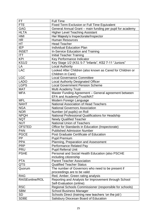| FT              | <b>Full Time</b>                                                        |
|-----------------|-------------------------------------------------------------------------|
| <b>FTE</b>      | Fixed Term Exclusion or Full Time Equivalent                            |
| GAG             | General Annual Grant - main funding per pupil for academy               |
| <b>HLTA</b>     | <b>Higher Level Teaching Assistant</b>                                  |
| <b>HMI</b>      | Her Majesty's Inspectorate/Inspector                                    |
| <b>HR</b>       | <b>Human Resources</b>                                                  |
| <b>HT</b>       | <b>Head Teacher</b>                                                     |
| <b>IEP</b>      | <b>Individual Education Plan</b>                                        |
| <b>INSET</b>    | In-Service Education and Training                                       |
| <b>ITT</b>      | <b>Initial Teacher Training</b>                                         |
| <b>KPI</b>      | Key Performance Indicator                                               |
| <b>KS1/2</b>    | Key Stage 1/2 (KS1 5-7 "Infants", KS2 7-11 "Juniors"                    |
| LA              | <b>Local Authority</b>                                                  |
| <b>LAC</b>      | Looked After Children (also known as Cared for Children or              |
|                 | Children in Care)                                                       |
| <b>LGC</b>      | <b>Local Governance Committee</b>                                       |
| <b>LADO</b>     | <b>Local Authority Designated Officer</b>                               |
| <b>LGPS</b>     | <b>Local Government Pension Scheme</b>                                  |
| <b>MAT</b>      | <b>Multi Academy Trust</b>                                              |
| <b>MFA</b>      |                                                                         |
|                 | Master Funding Agreement - General agreement between                    |
| <b>MFL</b>      | EFA and Academy/Trust/MAT                                               |
| <b>NAHT</b>     | Modern Foreign Language<br><b>National Association of Head Teachers</b> |
|                 |                                                                         |
| <b>NGA</b>      | <b>National Governors Association</b>                                   |
| <b>NOR</b>      | Number (of pupils) on Roll                                              |
| <b>NPQH</b>     | National Professional Qualifications for Headship                       |
| <b>NQT</b>      | <b>Newly Qualified Teacher</b>                                          |
| <b>NUT</b>      | <b>National Union of Teachers</b>                                       |
| <b>OFSTED</b>   | Office for Standards in Education (Inspectorate)                        |
| <b>PAN</b>      | <b>Published Admission Number</b>                                       |
| <b>PGCE</b>     | Post Graduate Certificate of Education                                  |
| PP              | <b>Pupil Premium</b>                                                    |
| <b>PPA</b>      | Planning, Preparation and Assessment                                    |
| <b>PRP</b>      | Performance Related Pay                                                 |
| <b>PRU</b>      | <b>Pupil Referral Unit</b>                                              |
| <b>PSHE</b>     | Personal and Social Health Education (also PSCHE                        |
|                 | including citizenship                                                   |
| <b>PTA</b>      | <b>Parent Teacher Association</b>                                       |
| QTS             | <b>Qualified Teacher Status</b>                                         |
| Quorum          | The number of Governors who need to be present if                       |
|                 | proceedings are to be valid                                             |
| <b>RAG</b>      | Red, Amber, Green rating analysis                                       |
| RAISEonline/ROL | Reporting and Analysis for Improvement through School                   |
|                 | Self-Evaluation (online)                                                |
| <b>RSC</b>      | Regional Schools Commissioner (responsible for schools)                 |
| <b>SBM</b>      | <b>School Business Manager</b>                                          |
| <b>SD</b>       | Schools Direct (training new teachers 'on the job')                     |
| <b>SDBE</b>     | Salisbury Diocesan Board of Education                                   |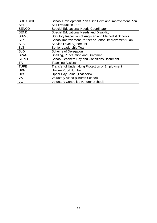| SDP / SDIP   | School Development Plan / Sch Dev't and Improvement Plan |
|--------------|----------------------------------------------------------|
| <b>SEF</b>   | <b>Self-Evaluation Form</b>                              |
| <b>SENCO</b> | <b>Special Educational Needs Coordinator</b>             |
| <b>SEND</b>  | Special Educational Needs and Disability                 |
| <b>SIAMS</b> | Statutory Inspection of Anglican and Methodist Schools   |
| <b>SIP</b>   | School Improvement Partner or School Improvement Plan    |
| <b>SLA</b>   | <b>Service Level Agreement</b>                           |
| <b>SLT</b>   | Senior Leadership Team                                   |
| SoD          | <b>Scheme of Delegation</b>                              |
| <b>SPAG</b>  | Spelling, Punctuation and Grammar                        |
| <b>STPCD</b> | School Teachers Pay and Conditions Document              |
| <b>TA</b>    | <b>Teaching Assistant</b>                                |
| <b>TUPE</b>  | <b>Transfer of Undertaking Protection of Employment</b>  |
| <b>UPN</b>   | <b>Unique Pupil Number</b>                               |
| <b>UPS</b>   | <b>Upper Pay Spine (Teachers)</b>                        |
| <b>VA</b>    | <b>Voluntary Aided (Church School)</b>                   |
| <b>VC</b>    | <b>Voluntary Controlled (Church School)</b>              |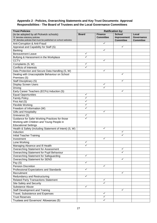#### **Appendix 2 - Policies, Overarching Statements and Key Trust Documents: Approval Responsibilities - The Board of Trustees and the Local Governance Committees**

| <b>Trust Policies</b>                                                     |              |                                    | <b>Ratification by:</b>      |                     |
|---------------------------------------------------------------------------|--------------|------------------------------------|------------------------------|---------------------|
| (to be adopted by all Pickwick schools)<br>'S' denotes statutory policies | <b>Board</b> | <b>Finance</b><br><b>Committee</b> | <b>School</b><br>Improvement | Local<br>Governance |
| 'W' denotes policies that must be published on school websites            |              |                                    | <b>Committee</b>             | <b>Committee</b>    |
| Anti-Corruption & Anti-Fraud                                              |              | ✓                                  |                              |                     |
| Appraisal and Capability for Staff (S)                                    |              |                                    | ✓                            |                     |
| Banking                                                                   |              | ✓                                  |                              |                     |
| <b>Bereavement Leave</b>                                                  | $\checkmark$ |                                    |                              |                     |
| Bullying & Harassment in the Workplace                                    | ✓            |                                    |                              |                     |
| <b>CCTV</b>                                                               |              | $\checkmark$                       |                              |                     |
| Complaints (S, W)                                                         | $\checkmark$ |                                    |                              |                     |
| <b>Conflicts of Interests</b>                                             | ✓            |                                    |                              |                     |
| Data Protection and Secure Data Handling (S, W)                           |              | $\checkmark$                       |                              |                     |
| Dealing with Unacceptable Behaviour on School                             |              |                                    | ✓                            |                     |
| Premises (S)                                                              |              |                                    |                              |                     |
| <b>Staff Disciplinary (S)</b>                                             |              |                                    | ✓                            |                     |
| <b>Display Screen Users</b>                                               |              | $\checkmark$                       |                              |                     |
| Driving                                                                   |              | $\overline{\checkmark}$            |                              |                     |
| Early Career Teachers (ECFs) Induction (S)                                |              |                                    | ✓                            |                     |
| <b>Equal Opportunities</b>                                                | $\checkmark$ |                                    |                              |                     |
| <b>Family Policy</b>                                                      | ✓            |                                    |                              |                     |
| First Aid (S)                                                             | $\checkmark$ |                                    |                              |                     |
| <b>Flexible Working</b>                                                   | $\checkmark$ |                                    |                              |                     |
| Freedom of Information (W)                                                | $\checkmark$ |                                    |                              |                     |
| Gifts and Hospitality                                                     |              | ✓                                  |                              |                     |
| Grievance (S)                                                             | $\checkmark$ |                                    |                              |                     |
| Guidance for Safer Working Practices for those                            | ✓            |                                    |                              |                     |
| Working with Children and Young People in                                 |              |                                    |                              |                     |
| <b>Educational Settings</b>                                               |              |                                    |                              |                     |
| Health & Safety (including Statement of Intent) (S, W)                    |              | $\checkmark$                       |                              |                     |
| Induction                                                                 |              |                                    | ✓                            |                     |
| <b>Initial Teacher Training</b>                                           |              |                                    | ✓                            |                     |
| Investment                                                                |              | ✓                                  |                              |                     |
| Lone Working                                                              | ✓            |                                    |                              |                     |
| Managing Absence and III Health                                           | ✓            |                                    |                              |                     |
| Overarching Statement for Assessment                                      |              |                                    | ✓                            |                     |
| Overarching Statement for Pupil Behaviour                                 |              |                                    |                              |                     |
| Overarching Statement for Safeguarding                                    | ✓            |                                    |                              |                     |
| Overarching Statement for SEND                                            |              |                                    | ✓                            |                     |
| Pay $\overline{(S)}$                                                      | ✓            |                                    |                              |                     |
| <b>Pension Discretion</b>                                                 |              | $\checkmark$                       |                              |                     |
| Professional Expectations and Standards                                   | $\checkmark$ |                                    |                              |                     |
| Recruitment                                                               |              |                                    | ✓                            |                     |
| Redundancy and Restructuring                                              | $\checkmark$ |                                    |                              |                     |
| <b>Related Party Transactions Statement</b>                               |              | ✓                                  |                              |                     |
| Site Safety and Security                                                  |              | ✓                                  |                              |                     |
| Substance Abuse                                                           | $\checkmark$ |                                    |                              |                     |
| <b>Staff Development and Training</b>                                     |              |                                    | $\checkmark$                 |                     |
| Travel, Subsistence and Expenses                                          |              | $\checkmark$                       |                              |                     |
| <b>Trust Reserves</b>                                                     |              | ✓                                  |                              |                     |
| Trustees and Governors' Allowances (S)                                    |              | ✓                                  |                              |                     |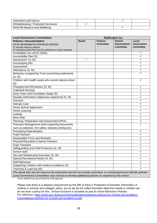| Volunteers and Interns                |  |  |
|---------------------------------------|--|--|
| Whistleblowing / Protected Disclosure |  |  |
| Work-life Balance and Wellbeing       |  |  |

| <b>Local Governance Committees</b>                                                                                   | <b>Ratification by:</b> |                  |                  |                   |
|----------------------------------------------------------------------------------------------------------------------|-------------------------|------------------|------------------|-------------------|
| <b>Policies / Documentation</b>                                                                                      | <b>Board</b>            | <b>Finance</b>   | <b>School</b>    | Local             |
| (to be developed by individual schools)                                                                              |                         | <b>Committee</b> | Improvement      | <b>Governance</b> |
| 'S' denotes statutory policies                                                                                       |                         |                  | <b>Committee</b> | <b>Committee</b>  |
| 'W' denotes policies that must be published on school websites                                                       |                         |                  |                  | ✓                 |
| Acceptable Use and E-Safety                                                                                          |                         |                  |                  | ✓                 |
| Accessibility Plan (S)                                                                                               | $\star$                 |                  |                  |                   |
| Admissions* (S, W)                                                                                                   |                         |                  |                  | ✓                 |
| Anti-Bullying (W)                                                                                                    |                         |                  |                  | ✓                 |
| Assessment                                                                                                           |                         |                  |                  | ✓                 |
| Attendance (S, W)                                                                                                    |                         |                  |                  | ✓                 |
| Behaviour (supporting Trust overarching statement)                                                                   |                         |                  |                  |                   |
| (S, W)                                                                                                               |                         |                  |                  |                   |
| Children with health needs who cannot attend school                                                                  |                         |                  |                  | ✓                 |
| (S)                                                                                                                  |                         |                  |                  |                   |
| Charging and Remissions (S, W)                                                                                       |                         |                  |                  | ✓                 |
| <b>Collective Worship</b>                                                                                            |                         |                  |                  | ✓                 |
| Early Years and Foundation Stage (S)                                                                                 |                         |                  |                  | ✓                 |
| Equality Information (objectives statement) (S, W)                                                                   |                         |                  |                  | ✓                 |
| Inclusion                                                                                                            |                         |                  |                  | ✓                 |
| Intimate Care                                                                                                        |                         |                  |                  | ✓                 |
| Home School Agreement                                                                                                |                         |                  |                  | ✓                 |
| Home Learning                                                                                                        |                         |                  |                  | ✓                 |
| Lettings                                                                                                             |                         |                  |                  | ✓                 |
| More Able                                                                                                            |                         |                  |                  | $\checkmark$      |
| Planning, Preparation and Assessment (PPA)                                                                           |                         |                  |                  | ✓                 |
| Premises Management (with supporting documents                                                                       |                         |                  |                  | ✓                 |
| such as asbestos, fire safety, statutory testing etc)                                                                |                         |                  |                  |                   |
| <b>Preventing Radicalisation</b>                                                                                     |                         |                  |                  | ✓                 |
| <b>Pupil Premium</b>                                                                                                 |                         |                  |                  | ✓                 |
| Reasonable Force and Restraint                                                                                       |                         |                  |                  | ✓                 |
| <b>Physical Education &amp; Sports Premium</b>                                                                       |                         |                  |                  | ✓                 |
| <b>Pupil Transition</b>                                                                                              |                         |                  |                  |                   |
| Safeguarding and Child Protection (S, W)                                                                             |                         |                  |                  | ✓                 |
| School visits                                                                                                        |                         |                  |                  |                   |
| Sex and Relationship Education (S, W)                                                                                |                         |                  |                  | ✓                 |
| Special Educational Needs (S, W)                                                                                     |                         |                  |                  | ✓                 |
| Staff Behaviour                                                                                                      |                         |                  |                  | ✓                 |
| Supporting Children with medical conditions (S)                                                                      |                         |                  |                  |                   |
| Teaching & Learning (W)                                                                                              |                         |                  |                  |                   |
| The above lists are not meant to be exhaustive and do not include curriculum, or community/school specific policies. |                         |                  |                  |                   |
| Local Governance Committees may choose to develop additional policies as required by the school.                     |                         |                  |                  |                   |

\*Once ratified must go to Board for final approval

Please note there is a statutory requirement by the DfE to have a 'Protection of biometric information of children in schools and colleges' policy, but as we do not collect biometric data from adults or children we do not have a policy for this. School exclusion is included as part of school Behaviour Policies. For reference: [https://www.gov.uk/government/publications/statutory-policies-for-schools-and-academy](https://www.gov.uk/government/publications/statutory-policies-for-schools-and-academy-trusts/statutory-policies-for-schools-and-academy-trusts)[trusts/statutory-policies-for-schools-and-academy-trusts](https://www.gov.uk/government/publications/statutory-policies-for-schools-and-academy-trusts/statutory-policies-for-schools-and-academy-trusts)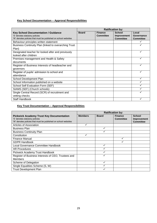#### **Key School Documentation – Approval Responsibilities**

|                                                                | <b>Ratification by:</b> |                  |                    |                  |
|----------------------------------------------------------------|-------------------------|------------------|--------------------|------------------|
| <b>Key School Documentation / Guidance</b>                     | <b>Board</b>            | <b>Finance</b>   | <b>School</b>      | Local            |
| 'S' denotes statutory policies                                 |                         | <b>Committee</b> | <b>Improvement</b> | Governance       |
| 'W' denotes policies that must be published on school websites |                         |                  | <b>Committee</b>   | <b>Committee</b> |
| Behaviour principles written statement                         |                         |                  |                    |                  |
| Business Continuity Plan (linked to overarching Trust          |                         |                  |                    |                  |
| Plan)                                                          |                         |                  |                    |                  |
| Designated teacher for looked after and previously             |                         |                  |                    | ✓                |
| looked after children                                          |                         |                  |                    |                  |
| Premises management and Health & Safety                        |                         |                  |                    | ✓                |
| documents                                                      |                         |                  |                    |                  |
| Register of Business Interests of headteacher and              |                         |                  |                    | ✓                |
| governors                                                      |                         |                  |                    |                  |
| Register of pupils' admission to school and                    |                         |                  |                    |                  |
| attendance                                                     |                         |                  |                    |                  |
| School Development Plan                                        |                         |                  |                    | ✓                |
| School Information published on a website                      |                         |                  |                    |                  |
| School Self Evaluation Form (SEF)                              |                         |                  |                    |                  |
| SIAMS (SEF) (Church schools)                                   |                         |                  |                    |                  |
| Single Central Record (SCR) of recruitment and                 |                         |                  |                    | ✓                |
| vetting checks                                                 |                         |                  |                    |                  |
| Staff Handbook                                                 |                         |                  |                    |                  |

#### **Key Trust Documentation – Approval Responsibilities**

|                                                                                                                                                     |                |              | <b>Ratification by:</b>            |                                                         |
|-----------------------------------------------------------------------------------------------------------------------------------------------------|----------------|--------------|------------------------------------|---------------------------------------------------------|
| <b>Pickwick Academy Trust Key Documentation</b><br>'S' denotes statutory policies<br>'W' denotes policies that must be published on school websites | <b>Members</b> | <b>Board</b> | <b>Finance</b><br><b>Committee</b> | <b>School</b><br><b>Improvement</b><br><b>Committee</b> |
| Articles of Association                                                                                                                             | ✓              |              |                                    |                                                         |
| <b>Business Plan</b>                                                                                                                                |                |              |                                    |                                                         |
| <b>Business Continuity Plan</b>                                                                                                                     |                |              |                                    |                                                         |
| Constitution                                                                                                                                        | ✓              |              |                                    |                                                         |
| <b>Finance Manual</b>                                                                                                                               |                |              |                                    |                                                         |
| <b>GDPR Handbook</b>                                                                                                                                |                |              |                                    |                                                         |
| Local Governance Committee Handbook                                                                                                                 |                |              |                                    |                                                         |
| <b>HR Procedures</b>                                                                                                                                |                |              |                                    |                                                         |
| Pickwick Academy Trust Handbook                                                                                                                     |                |              |                                    |                                                         |
| Register of Business Interests of CEO, Trustees and                                                                                                 |                |              |                                    |                                                         |
| <b>Members</b>                                                                                                                                      |                |              |                                    |                                                         |
| Scheme of Delegation                                                                                                                                |                |              |                                    |                                                         |
| Single Equalities Scheme (S, W)                                                                                                                     |                |              |                                    |                                                         |
| <b>Trust Development Plan</b>                                                                                                                       |                |              |                                    |                                                         |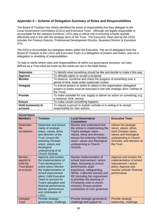#### **Appendix 3 – Scheme of Delegation Summary of Roles and Responsibilities**

The Board of Trustees has clearly identified the areas of responsibility that they delegate to the Local Governance Committees (LGCs) and Executive Team. Although not legally responsible or accountable for the statutory functions, LGCs play a critical role in ensuring schools operate effectively and in line with the strategic aims of the Trust. The Executive Team (led by the CEO) includes the Finance Director, Professional Development Director, Business Director & Executive HTs.

The CEO is accountable but delegates duties within the Executive. The act of delegation from the Board of Trustees to the LGCs and Executive Team is a delegation of powers and duties, and not a delegation or shedding of responsibilities.

To help to clarify where roles and responsibilities sit within our governance structure, we have defined as a Trust what we mean by the words we use in the table below:

| <b>Determine</b>             | To identify what something should be like and decide to make it this way                                                                                        |
|------------------------------|-----------------------------------------------------------------------------------------------------------------------------------------------------------------|
| <b>Approve</b>               | To officially agree or accept a proposal                                                                                                                        |
| <b>Monitor</b>               | To observe, scrutinise and check the progress of something over a<br>period of time; keep under systematic review                                               |
| <b>Delegate</b>              | To entrust powers or duties to others in the organisation (delegated<br>powers or duties must be executed in line with strategic aims / wishes of<br>the Trust) |
| <b>Provide</b>               | To make available for use; supply or deliver an action on something, e.g.<br>a resource, time, service                                                          |
| <b>Ensure</b>                | To make certain something happens                                                                                                                               |
| Hold (someone) to<br>account | To require a person to explain verbally or in writing or to accept<br>responsibility for their actions                                                          |

| Governance                                                            |                                                                                                                                                                                                                                                                                                             |                                                                                                                                                                                                                                                                                                                                           |                                                                                                                                                                          |  |
|-----------------------------------------------------------------------|-------------------------------------------------------------------------------------------------------------------------------------------------------------------------------------------------------------------------------------------------------------------------------------------------------------|-------------------------------------------------------------------------------------------------------------------------------------------------------------------------------------------------------------------------------------------------------------------------------------------------------------------------------------------|--------------------------------------------------------------------------------------------------------------------------------------------------------------------------|--|
| <b>Members</b>                                                        | <b>Trustees</b>                                                                                                                                                                                                                                                                                             | <b>Local Governance</b><br><b>Committees</b>                                                                                                                                                                                                                                                                                              | <b>Executive Team</b>                                                                                                                                                    |  |
| Determine<br>the<br>constitution                                      | Determine and ensure<br>clarity of strategic<br>vision, values, ethos<br>and direction of the<br>Trust; ensure the<br>enduring Christian<br>vision, values and<br>theological<br>underpinning of all<br><b>Church Schools</b>                                                                               | Monitor and understand that<br>the school is implementing the<br>Trust's strategic vision,<br>values, ethos and direction;<br>ensure the enduring Christian<br>vision, values and theological<br>underpinning in Church<br><b>Schools</b>                                                                                                 | Deliver the strategic<br>vision, values, ethos,<br>(and Christian vision,<br>values and theological<br>underpinning in Church<br>Schools), and direction of<br>the Trust |  |
| Monitor,<br>appoint &<br>hold the<br><b>Trust Board</b><br>to account | Approve and monitor<br>the implementation of<br>Trust development /<br>action plans; Monitor<br>the implementation of<br>school improvement<br>plans; Hold Executive<br>Team to account for<br>Trust's education and<br>financial performance;<br>Monitor performance<br>and contribution of<br><b>LGCs</b> | Monitor implementation of<br>school improvement / action<br>plans, focussing on school<br>performance, pupil<br>experience, safeguarding,<br>SEND, Collective worship and<br>RE (including the requirement<br>to prioritise the teaching of<br>Christianity units in church<br>schools); Ensure positive<br>contribution of LGC governors | Approve and monitor the<br>implementation of school<br>improvement / action<br>plans; Approve and<br>monitor schools' financial<br>performance                           |  |
| Delegate<br><b>Trust</b>                                              | Provide strategic<br>governance, challenge                                                                                                                                                                                                                                                                  | Provide strategic governance,<br>challenge and support to                                                                                                                                                                                                                                                                                 | Provide strategic<br>leadership, challenge                                                                                                                               |  |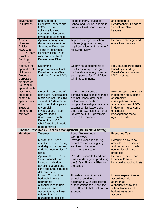| governance<br>to Trustees                                                                                       | and support to<br><b>Executive Leaders and</b><br><b>LGCs</b> ; Ensure<br>collaboration and<br>communication between<br>layers of governance;                                                                                                                             | Headteachers, Heads of<br>School and Senior Leaders in<br>line with Trust Board direction                                                                                                                                                                        | and support to<br>Headteachers, Heads of<br><b>School and Senior</b><br>Leaders                                                                                                                        |
|-----------------------------------------------------------------------------------------------------------------|---------------------------------------------------------------------------------------------------------------------------------------------------------------------------------------------------------------------------------------------------------------------------|------------------------------------------------------------------------------------------------------------------------------------------------------------------------------------------------------------------------------------------------------------------|--------------------------------------------------------------------------------------------------------------------------------------------------------------------------------------------------------|
| Approve<br>changes to<br>Articles;<br><b>MOU with</b><br>SDBE; Board<br>Structure;<br>Funding<br>Agreement      | Approve changes to<br>Governance structure;<br>Scheme of Delegation;<br>Terms of Reference;<br><b>Business Plan; Trust-</b><br>wide policies; Trust<br>Development Plan                                                                                                   | Approve changes to school<br>policies (e.g. admissions,<br>pupil behaviour, safeguarding)<br>following review                                                                                                                                                    | Determine strategic and<br>operational policies                                                                                                                                                        |
| Approve the<br>appointment<br>of Trustees:<br>Diocesan<br>Corporate<br>Member for<br>Foundation<br>appointments | Determine<br>appointments to Trust<br>Board; Approve Chair<br>and Vice Chair of LGCs                                                                                                                                                                                      | Determine appointments to<br>LGC; ensure approval gained<br>for foundation local governors;<br>seek approval for Chair/Vice-<br>Chair appointments                                                                                                               | Provide support to Trust<br>Board by attending<br><b>Board, Committees and</b><br><b>LGC</b> meetings                                                                                                  |
| Determine<br>outcome of<br>complaint<br>against Trust<br>Chair; if<br><b>Trustees</b><br>need to be<br>removed  | Determine outcome of<br>complaint investigations<br>made against Executive<br>Team/LGC; determine<br>outcome of all appeals<br>to complaint<br>investigations made<br>against Heads<br>(Complaints Panel);<br>Determine if LGC<br>Chair/LGC itself needs<br>to be removed | Determine outcome of<br>complaint investigations made<br>against Heads; determine<br>outcome of appeals to<br>complaint investigations made<br>against senior leaders and<br>other staff (Complaints Panel);<br>Determine if LGC governors<br>need to be removed | Provide support to Heads<br>in determining outcome<br>of complaint<br>investigations made<br>against staff, and LGCs<br>in determining outcome<br>of complaint<br>investigations made<br>against Heads |
| <b>Members</b>                                                                                                  | <b>Trustees</b>                                                                                                                                                                                                                                                           | Finance, Resources & Facilities Management (inc. Health & Safety)<br><b>Local Governance</b>                                                                                                                                                                     | <b>Executive Team</b>                                                                                                                                                                                  |
|                                                                                                                 | <b>Monitor the Trust's</b><br>effectiveness in sharing<br>and aligning resources<br>to deliver economies of<br>scale                                                                                                                                                      | <b>Committees</b><br>Provide support in sharing<br>school resources, aligning<br>services to improve<br>economies of scale                                                                                                                                       | Determine how to co-<br>ordinate shared services<br>and resources; provide<br>economies of scale<br>proposals                                                                                          |
|                                                                                                                 | Approve the Trust's 3<br><b>Year Financial Plan</b><br>including individual<br>schools' budgets and<br>KPIs and annual budget<br>determination                                                                                                                            | Provide support to Head and<br>Finance Manager in producing<br>the 3 Year Financial Plan for<br>the school                                                                                                                                                       | Determine the 3 Year<br><b>Financial Plan and</b><br>individual school budgets                                                                                                                         |
|                                                                                                                 | <b>Monitor Trust/school</b><br>budget in line with<br>appropriate<br>authorisations to hold<br><b>Executive Team to</b><br>account; ensure Trust<br>follows financial<br>management policies                                                                              | Provide support to monitor<br>school expenditure in<br>accordance with appropriate<br>authorisations to support the<br>Trust Board to hold schools to<br>account                                                                                                 | Monitor expenditure in<br>accordance with<br>appropriate<br>authorisations to hold<br>school leaders and<br>budget managers to<br>account                                                              |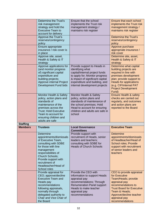|                 | Determine the Trust's<br>risk management<br>strategy and hold the<br><b>Executive Team to</b><br>account for delivery                                                                                                                                     | Ensure that the school<br>implements the Trust risk<br>management strategy /<br>maintains risk register                                                                                                                  | Ensure that each school<br>implements the Trust risk<br>management strategy /<br>maintains risk register                                                                                                                       |
|-----------------|-----------------------------------------------------------------------------------------------------------------------------------------------------------------------------------------------------------------------------------------------------------|--------------------------------------------------------------------------------------------------------------------------------------------------------------------------------------------------------------------------|--------------------------------------------------------------------------------------------------------------------------------------------------------------------------------------------------------------------------------|
|                 | Approve the Trust's<br>reserves/contingency<br>policy                                                                                                                                                                                                     |                                                                                                                                                                                                                          | <b>Determine the Trust's</b><br>reserves/contingency<br>policy                                                                                                                                                                 |
|                 | Ensure appropriate<br>insurance / risk cover is<br>in place                                                                                                                                                                                               |                                                                                                                                                                                                                          | Approve purchase<br>appropriate insurance /<br>risk cover                                                                                                                                                                      |
|                 | Approve site, asset,<br>Health & Safety & IT<br>strategy                                                                                                                                                                                                  |                                                                                                                                                                                                                          | Determine site, asset,<br>Health & Safety & IT<br>strategy                                                                                                                                                                     |
|                 | Approve applications for<br>(and monitor progress<br>of) significant capital<br>expenditure and<br>building projects;<br>Approve internal Project<br>Development Fund bids                                                                                | Provide support to Heads in<br>identifying what<br>capital/internal project funds<br>to apply for; Monitor progress<br>& impact of significant capital<br>expenditure and building, and<br>internal development projects | Determine what capital<br>building projects are<br>required in line with<br>premises development<br>plan; provide support to<br><b>Heads for applications</b><br>(e.g. CIF/internal PAT<br><b>Project Development</b><br>Fund) |
|                 | Monitor Health & Safety<br>policy, action plans and<br>standards of<br>maintenance of the<br>premises across the<br><b>Trust; Hold Executive</b><br>Team to account for<br>ensuring children and<br>adults are safe                                       | Monitor Health & Safety<br>policy, action plans and<br>standards of maintenance of<br>the school premises; Hold<br>Head to account for ensuring<br>children and adults are safe in<br>school                             | <b>Ensure Health &amp; safety</b><br>checks are carried out<br>regularly, and outcomes<br>and action plans are<br>reported to the Board                                                                                        |
| <b>Staffing</b> |                                                                                                                                                                                                                                                           |                                                                                                                                                                                                                          |                                                                                                                                                                                                                                |
| <b>Members</b>  | <b>Trustees</b>                                                                                                                                                                                                                                           | <b>Local Governance</b><br><b>Committees</b>                                                                                                                                                                             | <b>Executive Team</b>                                                                                                                                                                                                          |
|                 | Determine<br>appointments/dismissals<br>of Executive Team,<br>consulting with SDBE<br>for those with line<br>management<br>responsibilities of<br><b>Church Schools;</b><br>Provide support with<br>recruitment of<br>Headteacher/Head of<br>School roles | Provide support with<br>recruitment of Heads, senior<br>leaders and teachers;<br>consulting with SDBE for<br><b>Heads of Church Schools</b>                                                                              | <b>Determine</b><br>appointments/dismissals<br>of Headteacher/Head of<br><b>School roles; Provide</b><br>support with recruitment<br>of senior leaders and<br>teachers                                                         |
|                 | Provide appraisal for<br>CEO; approve/decline<br><b>Executive Team and</b><br>Heads pay<br>recommendations<br>following appraisals,<br>normally through<br>delegated authority to<br>Chair and Vice Chair of<br>the Board                                 | Provide the CEO with<br>information to support Heads<br>appraisal pay<br>recommendations; Through<br><b>Renumeration Panel support</b><br>Heads to make teacher<br>appraisal pay<br>recommendations                      | CEO to provide appraisal<br>for Executive<br>Team/Heads; provide<br>appraisal pay<br>recommendations to<br><b>Trust Board for Executive</b><br>Team & Heads;<br>Approve/decline teacher<br>appraisal pay<br>recommendations    |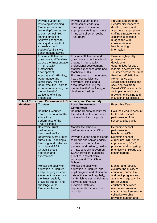|                | Provide support for<br>reviewing/developing<br>Executive team and<br>leadership/governance<br>at each school; Set<br>staffing direction;<br>Approve changes to<br>staffing structure that<br>exceeds school<br>budgets/conflicts with<br>benchmarking advice | Provide support to the<br>Head/senior leaders to<br>develop and review an<br>appropriate staffing structure<br>in line with direction set by<br><b>Trust Board</b>                                                                                                  | Provide support to the<br><b>Head/senior leaders to</b><br>develop, review and<br>approve an appropriate<br>staffing structure within<br>constraints of school<br>budget and with<br>consideration to<br>benchmarking<br>information                   |
|----------------|--------------------------------------------------------------------------------------------------------------------------------------------------------------------------------------------------------------------------------------------------------------|---------------------------------------------------------------------------------------------------------------------------------------------------------------------------------------------------------------------------------------------------------------------|--------------------------------------------------------------------------------------------------------------------------------------------------------------------------------------------------------------------------------------------------------|
|                | Ensure staff, leaders,<br>governors and Trustees<br>across the Trust engage<br>in high quality<br>professional                                                                                                                                               | Ensure staff, leaders and<br>governors across the school<br>engage in high quality<br>professional development;<br>Monitor experience of trainee                                                                                                                    | Provide high quality<br>professional<br>development<br>opportunities for staff,<br>leaders, governors and                                                                                                                                              |
|                | development<br>Approve staff, HR, Pay,<br>Performance and<br><b>Disciplinary Policies;</b><br><b>Hold Executive Team to</b><br>account for ensuring the<br>mental health &<br>wellbeing of children<br>and adults                                            | teachers / ECTs<br>Ensure governors understand<br>how these policies are<br>delivered; Hold Head to<br>account for ensuring the<br>mental health & wellbeing of<br>children and adults                                                                              | <b>Trustees across the Trust</b><br>Provide staff, HR, Pay,<br>Performance and<br><b>Disciplinary Policies and</b><br>seek approval from<br>Board; CEO responsible<br>for implementation and<br>provision of training and<br>induction in all policies |
|                | School Curriculum, Performance & Outcomes, and Community                                                                                                                                                                                                     |                                                                                                                                                                                                                                                                     |                                                                                                                                                                                                                                                        |
| <b>Members</b> | <b>Trustees</b>                                                                                                                                                                                                                                              | <b>Local Governance</b>                                                                                                                                                                                                                                             | <b>Executive Team</b>                                                                                                                                                                                                                                  |
|                | <b>Hold the Executive</b>                                                                                                                                                                                                                                    | <b>Committees</b><br>Hold the Head to account for                                                                                                                                                                                                                   | Hold the Head to account                                                                                                                                                                                                                               |
|                | Team to account for the<br>educational<br>performance of the<br>Trust's schools                                                                                                                                                                              | the educational performance<br>of the school and its pupils                                                                                                                                                                                                         | for the educational<br>performance of the<br>school and its pupils                                                                                                                                                                                     |
|                | <b>Determine Trust</b><br>performance<br>benchmarks/KPIs                                                                                                                                                                                                     | Monitor the school's<br>performance against KPIs                                                                                                                                                                                                                    | Determine school<br>performance<br>benchmarks/KPIs                                                                                                                                                                                                     |
|                | <b>Determine overall Trust</b><br>curriculum, Teaching &<br>Learning, and collective<br>worship and RE in<br><b>Church Schools</b><br>approach and<br>expectations                                                                                           | Provide support and challenge<br>to Heads and senior leaders<br>in relation to curriculum<br>planning and delivery, quality<br>of T&L, school improvement,<br>SEND provision, budgeting<br>priorities, and collective<br>worship and RE in Church<br><b>Schools</b> | Determine school<br>curriculum, T&L, school<br>improvement, SEND<br>provision and budgeting<br>priorities with Heads and<br>senior leaders                                                                                                             |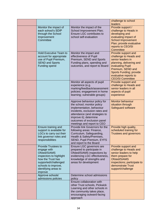|                                                                                                                                                                                             |                                                                                                                                                                                                                                                   | challenge to school<br>leaders                                                                                                                                                                                                |
|---------------------------------------------------------------------------------------------------------------------------------------------------------------------------------------------|---------------------------------------------------------------------------------------------------------------------------------------------------------------------------------------------------------------------------------------------------|-------------------------------------------------------------------------------------------------------------------------------------------------------------------------------------------------------------------------------|
| Monitor the impact of<br>each school's SDIP<br>through the School<br>Improvement<br>Committee                                                                                               | Monitor the impact of the<br>School Improvement Plan;<br>Ensure LGC contributes to<br>school self-evaluation                                                                                                                                      | Provide support /<br>challenge to Heads in<br>developing and<br>evaluating impact of<br><b>School Improvement</b><br>Plan; provide evaluative<br>reports to CEO/SI<br>Committee                                               |
| <b>Hold Executive Team to</b><br>account for appropriate<br>use of Pupil Premium,<br><b>SEND and Sports</b><br>Funding spend                                                                | Monitor the impact and<br>effectiveness of Pupil<br>Premium, SEND and Sports<br>Funding plans, spending and<br>outcomes, and report to Board                                                                                                      | Provide support and<br>challenge to Heads and<br>senior leaders in<br>planning, delivering and<br>evaluating Pupil<br>Premium, SEND and<br><b>Sports Funding; provide</b><br>evaluative reports to<br><b>CEO/SI Committee</b> |
|                                                                                                                                                                                             | Monitor all aspects of pupil<br>experience (e.g.<br>marking/feedback/assessment<br>policies; engagement in home<br>learning; vulnerable groups)                                                                                                   | Provide support and<br>challenge to Heads and<br>senior leaders in all<br>aspects of pupil<br>experience                                                                                                                      |
|                                                                                                                                                                                             | Approve behaviour policy for<br>the school; monitor policy<br>implementation, behaviour<br>incidents, exclusion rates and<br>attendance (and strategies to<br>improve it); determine<br>outcomes of exclusion panel<br>meetings and report to CEO | <b>Monitor behaviour</b><br>situation through<br>Safeguard software                                                                                                                                                           |
| Ensure training and<br>support is available for<br>LGCs to carry out their<br>link governor roles and<br>responsibilities                                                                   | Provide link Governors for the<br>following areas: Finance,<br>Curriculum, Safeguarding,<br>Health & Safety/Premises,<br>SEND, Pupil Premium, EYFS<br>and report to the Board                                                                     | Provide high quality,<br>scheduled training for<br><b>Trustees and governors</b>                                                                                                                                              |
| <b>Provide Trustees to</b><br>engage with<br>Ofsted/SIAMS<br>inspectors to highlight<br>how the Trust has<br>supported/challenged<br>schools to improve,<br>identifying areas to<br>improve | Ensure LGC governors are<br>prepared to participate in<br>Ofsted/SIAMS inspections by<br>evidencing LGC effectiveness,<br>knowledge of strengths and<br>areas for development                                                                     | Provide support and<br>challenge to Heads and<br>senior leaders to help<br>them prepare for<br>Ofsted/SIAMS<br>inspections; participate to<br>demonstrate Trust<br>support/challenge                                          |
| Approve schools'<br>admissions policies                                                                                                                                                     | Determine school admissions<br>policy                                                                                                                                                                                                             |                                                                                                                                                                                                                               |
|                                                                                                                                                                                             | Ensure collaboration with<br>other Trust schools, Pickwick<br>Learning and other schools in<br>the community takes place,<br>encouraging outward-facing<br>approach                                                                               |                                                                                                                                                                                                                               |